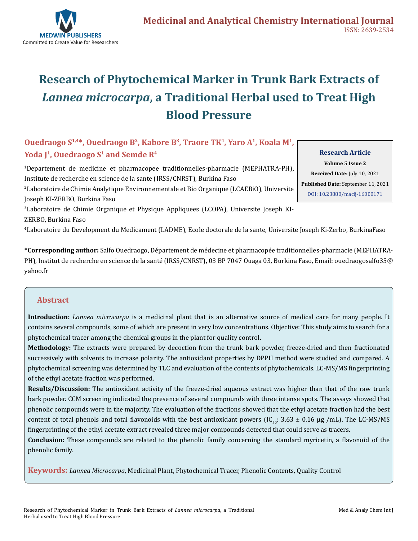

# **Research of Phytochemical Marker in Trunk Bark Extracts of**  *Lannea microcarpa***, a Traditional Herbal used to Treat High Blood Pressure**

# **Ouedraogo S1,4\*, Ouedraogo B2, Kabore B3, Traore TK4, Yaro A1, Koala M1,**  Yoda <sup>[1</sup>, Ouedraogo S<sup>1</sup> and Semde R<sup>4</sup>

1 Departement de medicine et pharmacopee traditionnelles-pharmacie (MEPHATRA-PH), Institute de recherche en science de la sante (IRSS/CNRST), Burkina Faso

2 Laboratoire de Chimie Analytique Environnementale et Bio Organique (LCAEBiO), Universite Joseph KI-ZERBO, Burkina Faso

3 Laboratoire de Chimie Organique et Physique Appliquees (LCOPA), Universite Joseph KI-ZERBO, Burkina Faso

4 Laboratoire du Development du Medicament (LADME), Ecole doctorale de la sante, Universite Joseph Ki-Zerbo, BurkinaFaso

**\*Corresponding author:** Salfo Ouedraogo, Département de médecine et pharmacopée traditionnelles-pharmacie (MEPHATRA-PH), Institut de recherche en science de la santé (IRSS/CNRST), 03 BP 7047 Ouaga 03, Burkina Faso, Email: ouedraogosalfo35@ yahoo.fr

# **Abstract**

**Introduction:** *Lannea microcarpa* is a medicinal plant that is an alternative source of medical care for many people. It contains several compounds, some of which are present in very low concentrations. Objective: This study aims to search for a phytochemical tracer among the chemical groups in the plant for quality control.

**Methodology:** The extracts were prepared by decoction from the trunk bark powder, freeze-dried and then fractionated successively with solvents to increase polarity. The antioxidant properties by DPPH method were studied and compared. A phytochemical screening was determined by TLC and evaluation of the contents of phytochemicals. LC-MS/MS fingerprinting of the ethyl acetate fraction was performed.

**Results/Discussion:** The antioxidant activity of the freeze-dried aqueous extract was higher than that of the raw trunk bark powder. CCM screening indicated the presence of several compounds with three intense spots. The assays showed that phenolic compounds were in the majority. The evaluation of the fractions showed that the ethyl acetate fraction had the best content of total phenols and total flavonoids with the best antioxidant powers (IC<sub>50</sub>: 3.63  $\pm$  0.16 µg /mL). The LC-MS/MS fingerprinting of the ethyl acetate extract revealed three major compounds detected that could serve as tracers.

**Conclusion:** These compounds are related to the phenolic family concerning the standard myricetin, a flavonoid of the phenolic family.

**Keywords:** *Lannea Microcarpa*, Medicinal Plant, Phytochemical Tracer, Phenolic Contents, Quality Control

**Research Article Volume 5 Issue 2 Received Date:** July 10, 2021 **Published Date:** September 11, 2021 [DOI: 10.23880/macij-16000171](https://doi.org/10.23880/macij-16000171)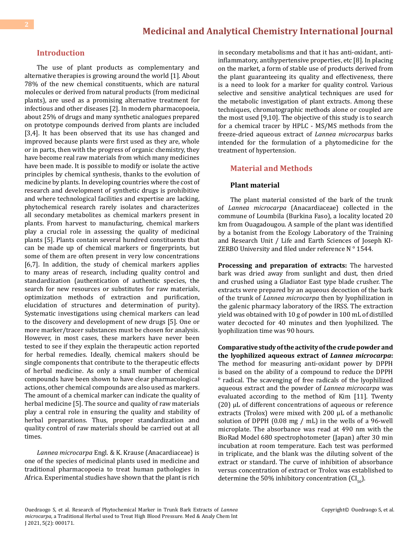#### **Introduction**

The use of plant products as complementary and alternative therapies is growing around the world [1]. About 78% of the new chemical constituents, which are natural molecules or derived from natural products (from medicinal plants), are used as a promising alternative treatment for infectious and other diseases [2]. In modern pharmacopoeia, about 25% of drugs and many synthetic analogues prepared on prototype compounds derived from plants are included [3,4]. It has been observed that its use has changed and improved because plants were first used as they are, whole or in parts, then with the progress of organic chemistry, they have become real raw materials from which many medicines have been made. It is possible to modify or isolate the active principles by chemical synthesis, thanks to the evolution of medicine by plants. In developing countries where the cost of research and development of synthetic drugs is prohibitive and where technological facilities and expertise are lacking, phytochemical research rarely isolates and characterizes all secondary metabolites as chemical markers present in plants. From harvest to manufacturing, chemical markers play a crucial role in assessing the quality of medicinal plants [5]. Plants contain several hundred constituents that can be made up of chemical markers or fingerprints, but some of them are often present in very low concentrations [6,7]. In addition, the study of chemical markers applies to many areas of research, including quality control and standardization (authentication of authentic species, the search for new resources or substitutes for raw materials, optimization methods of extraction and purification, elucidation of structures and determination of purity). Systematic investigations using chemical markers can lead to the discovery and development of new drugs [5]. One or more marker/tracer substances must be chosen for analysis. However, in most cases, these markers have never been tested to see if they explain the therapeutic action reported for herbal remedies. Ideally, chemical makers should be single components that contribute to the therapeutic effects of herbal medicine. As only a small number of chemical compounds have been shown to have clear pharmacological actions, other chemical compounds are also used as markers. The amount of a chemical marker can indicate the quality of herbal medicine [5]. The source and quality of raw materials play a central role in ensuring the quality and stability of herbal preparations. Thus, proper standardization and quality control of raw materials should be carried out at all times.

*Lannea microcarpa* Engl. & K. Krause (Anacardiaceae) is one of the species of medicinal plants used in medicine and traditional pharmacopoeia to treat human pathologies in Africa. Experimental studies have shown that the plant is rich

in secondary metabolisms and that it has anti-oxidant, antiinflammatory, antihypertensive properties, etc [8]. In placing on the market, a form of stable use of products derived from the plant guaranteeing its quality and effectiveness, there is a need to look for a marker for quality control. Various selective and sensitive analytical techniques are used for the metabolic investigation of plant extracts. Among these techniques, chromatographic methods alone or coupled are the most used [9,10]. The objective of this study is to search for a chemical tracer by HPLC - MS/MS methods from the freeze-dried aqueous extract of *Lannea microcarpus* barks intended for the formulation of a phytomedicine for the treatment of hypertension.

#### **Material and Methods**

#### **Plant material**

The plant material consisted of the bark of the trunk of *Lannea microcarpa* (Anacardiaceae) collected in the commune of Loumbila (Burkina Faso), a locality located 20 km from Ouagadougou. A sample of the plant was identified by a botanist from the Ecology Laboratory of the Training and Research Unit / Life and Earth Sciences of Joseph KI-ZERBO University and filed under reference N° 1544.

**Processing and preparation of extracts:** The harvested bark was dried away from sunlight and dust, then dried and crushed using a Gladiator East type blade crusher. The extracts were prepared by an aqueous decoction of the bark of the trunk of *Lannea microcarpa* then by lyophilization in the galenic pharmacy laboratory of the IRSS. The extraction yield was obtained with 10 g of powder in 100 mL of distilled water decocted for 40 minutes and then lyophilized. The lyophilization time was 90 hours.

**Comparative study of the activity of the crude powder and the lyophilized aqueous extract of** *Lannea microcarpa***:** The method for measuring anti-oxidant power by DPPH is based on the ability of a compound to reduce the DPPH ° radical. The scavenging of free radicals of the lyophilized aqueous extract and the powder of *Lannea microcarpa* was evaluated according to the method of Kim [11]. Twenty (20) µL of different concentrations of aqueous or reference extracts (Trolox) were mixed with 200 µL of a methanolic solution of DPPH (0.08 mg / mL) in the wells of a 96-well microplate. The absorbance was read at 490 nm with the BioRad Model 680 spectrophotometer (Japan) after 30 min incubation at room temperature. Each test was performed in triplicate, and the blank was the diluting solvent of the extract or standard. The curve of inhibition of absorbance versus concentration of extract or Trolox was established to determine the 50% inhibitory concentration  $(Cl_{50})$ .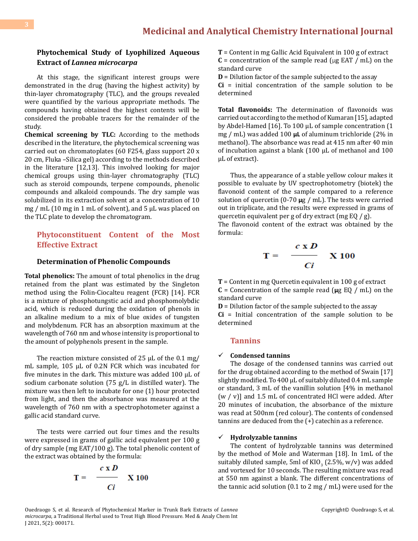# **Phytochemical Study of Lyophilized Aqueous Extract of** *Lannea microcarpa*

At this stage, the significant interest groups were demonstrated in the drug (having the highest activity) by thin-layer chromatography (TLC), and the groups revealed were quantified by the various appropriate methods. The compounds having obtained the highest contents will be considered the probable tracers for the remainder of the study.

**Chemical screening by TLC:** According to the methods described in the literature, the phytochemical screening was carried out on chromatoplates (60 F254, glass support 20 x 20 cm, Fluka –Silica gel) according to the methods described in the literature [12,13]. This involved looking for major chemical groups using thin-layer chromatography (TLC) such as steroid compounds, terpene compounds, phenolic compounds and alkaloid compounds. The dry sample was solubilized in its extraction solvent at a concentration of 10 mg / mL (10 mg in 1 mL of solvent), and 5 µL was placed on the TLC plate to develop the chromatogram.

### **Phytoconstituent Content of the Most Effective Extract**

#### **Determination of Phenolic Compounds**

**Total phenolics:** The amount of total phenolics in the drug retained from the plant was estimated by the Singleton method using the Folin-Ciocalteu reagent (FCR) [14]. FCR is a mixture of phosphotungstic acid and phosphomolybdic acid, which is reduced during the oxidation of phenols in an alkaline medium to a mix of blue oxides of tungsten and molybdenum. FCR has an absorption maximum at the wavelength of 760 nm and whose intensity is proportional to the amount of polyphenols present in the sample.

The reaction mixture consisted of 25  $\mu$ L of the 0.1 mg/ mL sample, 105 µL of 0.2N FCR which was incubated for five minutes in the dark. This mixture was added 100 µL of sodium carbonate solution (75 g/L in distilled water). The mixture was then left to incubate for one (1) hour protected from light, and then the absorbance was measured at the wavelength of 760 nm with a spectrophotometer against a gallic acid standard curve.

The tests were carried out four times and the results were expressed in grams of gallic acid equivalent per 100 g of dry sample (mg EAT/100 g). The total phenolic content of the extract was obtained by the formula:

$$
\mathbf{T} = \begin{array}{cc} c \times D \\ \hline C i \end{array} \quad \text{X } 100
$$

**T** = Content in mg Gallic Acid Equivalent in 100 g of extract  $C =$  concentration of the sample read ( $\mu$ g EAT / mL) on the standard curve

**D** = Dilution factor of the sample subjected to the assay

**Ci** = initial concentration of the sample solution to be determined

**Total flavonoids:** The determination of flavonoids was carried out according to the method of Kumaran [15], adapted by Abdel-Hamed [16]. To 100 μL of sample concentration (1 mg / mL) was added 100 **μL** of aluminum trichloride (2% in methanol). The absorbance was read at 415 nm after 40 min of incubation against a blank (100 µL of methanol and 100 µL of extract).

Thus, the appearance of a stable yellow colour makes it possible to evaluate by UV spectrophotometry (biotek) the flavonoid content of the sample compared to a reference solution of quercetin (0-70 **μ**g / mL). The tests were carried out in triplicate, and the results were expressed in grams of quercetin equivalent per g of dry extract (mg EQ / g).

The flavonoid content of the extract was obtained by the formula:

$$
\Gamma = \frac{c \times D}{Ci} \times 100
$$

**T** = Content in mg Quercetin equivalent in 100 g of extract **C** = Concentration of the sample read (**μ**g EQ / mL) on the standard curve

**D** = Dilution factor of the sample subjected to the assay **Ci** = Initial concentration of the sample solution to be determined

#### **Tannins**

#### **Condensed tannins**

The dosage of the condensed tannins was carried out for the drug obtained according to the method of Swain [17] slightly modified. To 400 µL of suitably diluted 0.4 mL sample or standard, 3 mL of the vanillin solution [4% in methanol  $(w / v)$ ] and 1.5 mL of concentrated HCl were added. After 20 minutes of incubation, the absorbance of the mixture was read at 500nm (red colour). The contents of condensed tannins are deduced from the (+) catechin as a reference.

#### **Hydrolyzable tannins**

The content of hydrolyzable tannins was determined by the method of Mole and Waterman [18]. In 1mL of the suitably diluted sample, 5ml of KIO<sub>3</sub> (2.5%, w/v) was added and vortexed for 10 seconds. The resulting mixture was read at 550 nm against a blank. The different concentrations of the tannic acid solution (0.1 to 2 mg / mL) were used for the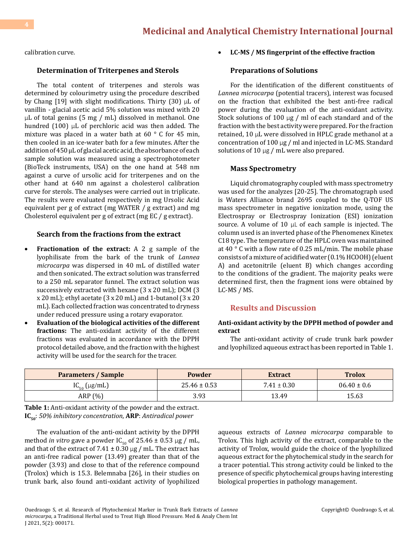# **[Medicinal and Analytical Chemistry International Journal](https://medwinpublishers.com/MACIJ/)**

calibration curve.

#### **Determination of Triterpenes and Sterols**

The total content of triterpenes and sterols was determined by colourimetry using the procedure described by Chang [19] with slight modifications. Thirty (30)  $\mu$ L of vanillin - glacial acetic acid 5% solution was mixed with 20 μL of total genins (5 mg / mL) dissolved in methanol. One hundred (100) μL of perchloric acid was then added. The mixture was placed in a water bath at  $60^\circ$  C for 45 min, then cooled in an ice-water bath for a few minutes. After the addition of 450 µL of glacial acetic acid, the absorbance of each sample solution was measured using a spectrophotometer (BioTeck instruments, USA) on the one hand at 548 nm against a curve of ursolic acid for triterpenes and on the other hand at 640 nm against a cholesterol calibration curve for sterols. The analyses were carried out in triplicate. The results were evaluated respectively in mg Ursolic Acid equivalent per g of extract (mg WATER / g extract) and mg Cholesterol equivalent per g of extract (mg EC / g extract).

#### **Search from the fractions from the extract**

- • **Fractionation of the extract:** A 2 g sample of the lyophilisate from the bark of the trunk of *Lannea microcarpa* was dispersed in 40 mL of distilled water and then sonicated. The extract solution was transferred to a 250 mL separator funnel. The extract solution was successively extracted with hexane (3 x 20 mL); DCM (3 x 20 mL); ethyl acetate (3 x 20 mL) and 1-butanol (3 x 20 mL). Each collected fraction was concentrated to dryness under reduced pressure using a rotary evaporator.
- **Evaluation of the biological activities of the different fractions:** The anti-oxidant activity of the different fractions was evaluated in accordance with the DPPH protocol detailed above, and the fraction with the highest activity will be used for the search for the tracer.

#### LC-MS / MS fingerprint of the effective fraction

#### **Preparations of Solutions**

For the identification of the different constituents of *Lannea microcarpa* (potential tracers), interest was focused on the fraction that exhibited the best anti-free radical power during the evaluation of the anti-oxidant activity. Stock solutions of 100 μg / ml of each standard and of the fraction with the best activity were prepared. For the fraction retained, 10 μL were dissolved in HPLC grade methanol at a concentration of 100 μg / ml and injected in LC-MS. Standard solutions of  $10 \mu g$  / mL were also prepared.

#### **Mass Spectrometry**

Liquid chromatography coupled with mass spectrometry was used for the analyzes [20-25]. The chromatograph used is Waters Alliance brand 2695 coupled to the Q-TOF US mass spectrometer in negative ionization mode, using the Electrospray or Electrospray Ionization (ESI) ionization source. A volume of 10 μL of each sample is injected. The column used is an inverted phase of the Phenomenex Kinetex C18 type. The temperature of the HPLC oven was maintained at 40 ° C with a flow rate of 0.25 mL/min. The mobile phase consists of a mixture of acidified water (0.1% HCOOH) (eluent A) and acetonitrile (eluent B) which changes according to the conditions of the gradient. The majority peaks were determined first, then the fragment ions were obtained by LC-MS / MS.

### **Results and Discussion**

#### **Anti-oxidant activity by the DPPH method of powder and extract**

The anti-oxidant activity of crude trunk bark powder and lyophilized aqueous extract has been reported in Table 1.

| <b>Parameters / Sample</b> | Powder           | <b>Extract</b>  | <b>Trolox</b>   |
|----------------------------|------------------|-----------------|-----------------|
| $IC_{50}$ (µg/mL)          | $25.46 \pm 0.53$ | $7.41 \pm 0.30$ | $06.40 \pm 0.6$ |
| ARP (%)                    | 3.93             | 13.49           | 15.63           |

**Table 1:** Anti-oxidant activity of the powder and the extract. **IC50**: *50% inhibitory concentration*, **ARP**: *Antiradical power*

The evaluation of the anti-oxidant activity by the DPPH method *in vitro* gave a powder  $IC_{50}$  of 25.46  $\pm$  0.53 µg / mL, and that of the extract of 7.41  $\pm$  0.30  $\mu$ g / mL. The extract has an anti-free radical power (13.49) greater than that of the powder (3.93) and close to that of the reference compound (Trolox) which is 15.3. Belemnaba [26], in their studies on trunk bark, also found anti-oxidant activity of lyophilized

aqueous extracts of *Lannea microcarpa* comparable to Trolox. This high activity of the extract, comparable to the activity of Trolox, would guide the choice of the lyophilized aqueous extract for the phytochemical study in the search for a tracer potential. This strong activity could be linked to the presence of specific phytochemical groups having interesting biological properties in pathology management.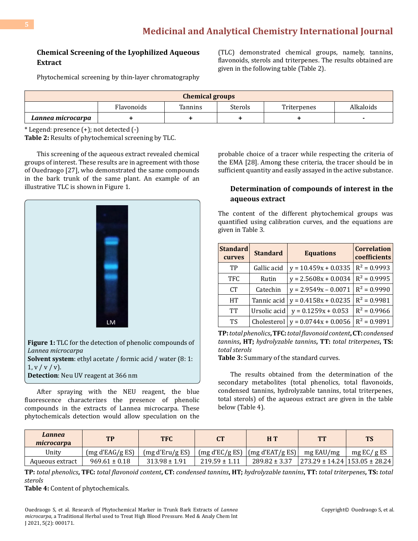# **Chemical Screening of the Lyophilized Aqueous Extract**

(TLC) demonstrated chemical groups, namely, tannins, flavonoids, sterols and triterpenes. The results obtained are given in the following table (Table 2).

Phytochemical screening by thin-layer chromatography

| <b>Chemical groups</b> |            |         |         |             |           |
|------------------------|------------|---------|---------|-------------|-----------|
|                        | Flavonoids | Tannins | Sterols | Triterpenes | Alkaloids |
| Lannea microcarpa      |            |         |         |             |           |

\* Legend: presence (+); not detected (-)

**Table 2:** Results of phytochemical screening by TLC.

This screening of the aqueous extract revealed chemical groups of interest. These results are in agreement with those of Ouedraogo [27], who demonstrated the same compounds in the bark trunk of the same plant. An example of an illustrative TLC is shown in Figure 1.



 $1, v / v / v$ . **Detection**: Neu UV reagent at 366 nm

After spraying with the NEU reagent, the blue fluorescence characterizes the presence of phenolic compounds in the extracts of Lannea microcarpa. These phytochemicals detection would allow speculation on the probable choice of a tracer while respecting the criteria of the EMA [28]. Among these criteria, the tracer should be in sufficient quantity and easily assayed in the active substance.

## **Determination of compounds of interest in the aqueous extract**

The content of the different phytochemical groups was quantified using calibration curves, and the equations are given in Table 3.

| <b>Standard</b><br>curves | <b>Standard</b> | <b>Equations</b>       | <b>Correlation</b><br>coefficients |
|---------------------------|-----------------|------------------------|------------------------------------|
| TР                        | Gallic acid     | $y = 10.459x + 0.0335$ | $R^2 = 0.9993$                     |
| <b>TFC</b>                | Rutin           | $y = 2.5608x + 0.0034$ | $R^2 = 0.9995$                     |
| <b>CT</b>                 | Catechin        | $y = 2.9549x - 0.0071$ | $R^2 = 0.9990$                     |
| HT                        | Tannic acid     | $y = 0.4158x + 0.0235$ | $R^2 = 0.9981$                     |
| TТ                        | Ursolic acid    | $y = 0.1259x + 0.053$  | $R^2 = 0.9966$                     |
| TS                        | Cholesterol     | $y = 0.0744x + 0.0056$ | $R^2 = 0.9891$                     |

**TP:** *total phenolics***, TFC:** *total flavonoid content***, CT:** *condensed tannins***, HT;** *hydrolyzable tannins***, TT:** *total triterpenes***, TS:**  *total sterols*

**Table 3:** Summary of the standard curves.

The results obtained from the determination of the secondary metabolites (total phenolics, total flavonoids, condensed tannins, hydrolyzable tannins, total triterpenes, total sterols) of the aqueous extract are given in the table below (Table 4).

| Lannea<br>microcarpa | TP                | <b>TFC</b>        |                   | H T                                                                                                | TT        | <b>TS</b>                       |
|----------------------|-------------------|-------------------|-------------------|----------------------------------------------------------------------------------------------------|-----------|---------------------------------|
| Unitv                | (mg d'EAG/g ES)   | (mg d'Eru/g ES)   |                   | $\left[\frac{\text{mg d'EC}}{\text{g ES}}\right] \left[\frac{\text{mg d'EAT}}{\text{g ES}}\right]$ | mg EAU/mg | mg $EC/gES$                     |
| Aqueous extract      | $969.61 \pm 0.18$ | $313.98 \pm 1.91$ | $219.59 \pm 1.11$ | $289.82 \pm 3.37$                                                                                  |           | 273.29 ± 14.24   153.05 ± 28.24 |

**TP:** *total phenolics***, TFC:** *total flavonoid content***, CT:** *condensed tannins***, HT;** *hydrolyzable tannins***, TT:** *total triterpenes***, TS:** *total sterols* 

**Table 4:** Content of phytochemicals.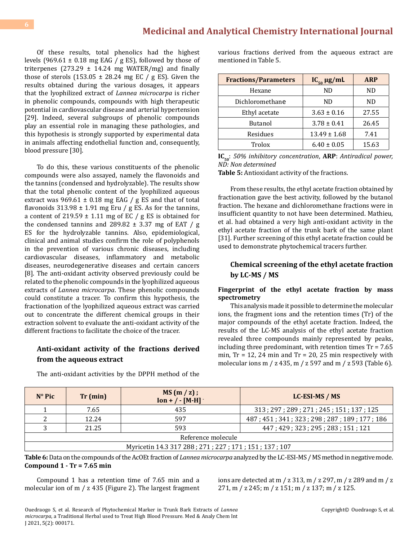# **[Medicinal and Analytical Chemistry International Journal](https://medwinpublishers.com/MACIJ/)**

Of these results, total phenolics had the highest levels (969.61  $\pm$  0.18 mg EAG / g ES), followed by those of triterpenes  $(273.29 \pm 14.24 \text{ mg WATER/mg})$  and finally those of sterols  $(153.05 \pm 28.24 \text{ mg EC} / \text{g ES})$ . Given the results obtained during the various dosages, it appears that the lyophilized extract of *Lannea microcarpa* is richer in phenolic compounds, compounds with high therapeutic potential in cardiovascular disease and arterial hypertension [29]. Indeed, several subgroups of phenolic compounds play an essential role in managing these pathologies, and this hypothesis is strongly supported by experimental data in animals affecting endothelial function and, consequently, blood pressure [30].

To do this, these various constituents of the phenolic compounds were also assayed, namely the flavonoids and the tannins (condensed and hydrolyzable). The results show that the total phenolic content of the lyophilized aqueous extract was  $969.61 \pm 0.18$  mg EAG / g ES and that of total flavonoids  $313.98 \pm 1.91$  mg Eru / g ES. As for the tannins, a content of 219.59  $\pm$  1.11 mg of EC / g ES is obtained for the condensed tannins and  $289.82 \pm 3.37$  mg of EAT / g ES for the hydrolyzable tannins. Also, epidemiological, clinical and animal studies confirm the role of polyphenols in the prevention of various chronic diseases, including cardiovascular diseases, inflammatory and metabolic diseases, neurodegenerative diseases and certain cancers [8]. The anti-oxidant activity observed previously could be related to the phenolic compounds in the lyophilized aqueous extracts of *Lannea microcarpa*. These phenolic compounds could constitute a tracer. To confirm this hypothesis, the fractionation of the lyophilized aqueous extract was carried out to concentrate the different chemical groups in their extraction solvent to evaluate the anti-oxidant activity of the different fractions to facilitate the choice of the tracer.

# **Anti-oxidant activity of the fractions derived from the aqueous extract**

The anti-oxidant activities by the DPPH method of the

various fractions derived from the aqueous extract are mentioned in Table 5.

| <b>Fractions/Parameters</b> | $IC_{50} \mu g/mL$ | <b>ARP</b> |
|-----------------------------|--------------------|------------|
| Hexane                      | ND.                | ND         |
| Dichloromethane             | ND                 | ND.        |
| Ethyl acetate               | $3.63 \pm 0.16$    | 27.55      |
| <b>Butanol</b>              | $3.78 \pm 0.41$    | 26.45      |
| Residues                    | $13.49 \pm 1.68$   | 7.41       |
| Trolox                      | $6.40 \pm 0.05$    | 15.63      |

**IC<sub>50</sub>**: 50% inhibitory concentration, **ARP**: Antiradical power, *ND: Non determined*

**Table 5:** Antioxidant activity of the fractions.

From these results, the ethyl acetate fraction obtained by fractionation gave the best activity, followed by the butanol fraction. The hexane and dichloromethane fractions were in insufficient quantity to not have been determined. Mathieu, et al. had obtained a very high anti-oxidant activity in the ethyl acetate fraction of the trunk bark of the same plant [31]. Further screening of this ethyl acetate fraction could be used to demonstrate phytochemical tracers further.

#### **Chemical screening of the ethyl acetate fraction by LC-MS / MS**

#### **Fingerprint of the ethyl acetate fraction by mass spectrometry**

This analysis made it possible to determine the molecular ions, the fragment ions and the retention times (Tr) of the major compounds of the ethyl acetate fraction. Indeed, the results of the LC-MS analysis of the ethyl acetate fraction revealed three compounds mainly represented by peaks, including three predominant, with retention times Tr = 7.65 min,  $Tr = 12$ , 24 min and  $Tr = 20$ , 25 min respectively with molecular ions m / z 435, m / z 597 and m / z 593 (Table 6).

| $N^{\circ}$ Pic                                      | Tr (min) | MS(m / z);<br>$Ion + / - [M-H]$ | LC-ESI-MS / MS                              |  |
|------------------------------------------------------|----------|---------------------------------|---------------------------------------------|--|
|                                                      | 7.65     | 435                             | 313; 297; 289; 271; 245; 151; 137; 125      |  |
|                                                      | 12.24    | 597                             | 487; 451; 341; 323; 298; 287; 189; 177; 186 |  |
|                                                      | 21.25    | 593                             | 447; 429; 323; 295; 283; 151; 121           |  |
| Reference molecule                                   |          |                                 |                                             |  |
| Myricetin 14.3 317 288; 271; 227; 171; 151; 137; 107 |          |                                 |                                             |  |

**Table 6:** Data on the compounds of the AcOEt fraction of *Lannea microcarpa* analyzed by the LC-ESI-MS / MS method in negative mode. **Compound 1 - Tr = 7.65 min**

Compound 1 has a retention time of 7.65 min and a molecular ion of m / z 435 (Figure 2). The largest fragment ions are detected at m / z 313, m / z 297, m / z 289 and m / z 271, m / z 245; m / z 151; m / z 137; m / z 125.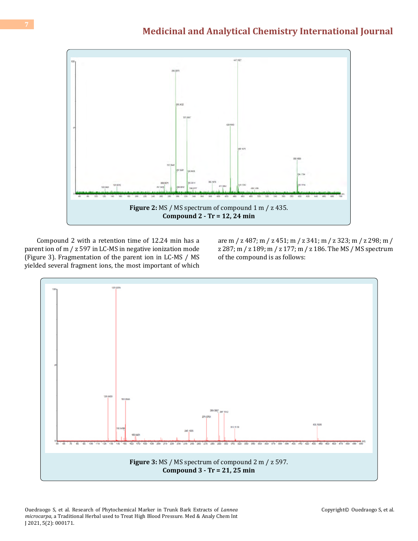

Compound 2 with a retention time of 12.24 min has a parent ion of m / z 597 in LC-MS in negative ionization mode (Figure 3). Fragmentation of the parent ion in LC-MS / MS yielded several fragment ions, the most important of which are m / z 487; m / z 451; m / z 341; m / z 323; m / z 298; m / z 287; m / z 189; m / z 177; m / z 186. The MS / MS spectrum of the compound is as follows:

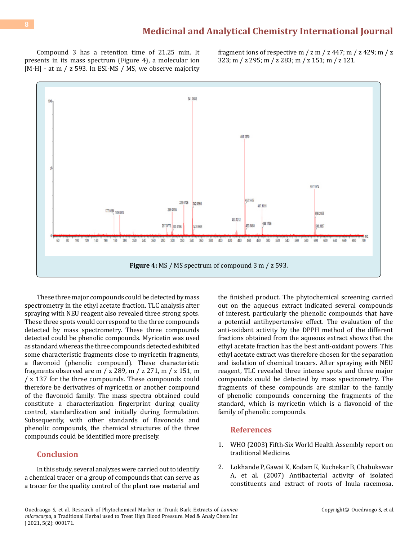Compound 3 has a retention time of 21.25 min. It presents in its mass spectrum (Figure 4), a molecular ion [M-H] - at m / z 593. In ESI-MS / MS, we observe majority

fragment ions of respective m  $\frac{7 \text{ m}}{2 \text{ m}}$   $\frac{447 \text{ m}}{2 \text{ m}}$   $\frac{429 \text{ m}}{2 \text{ m}}$ 323; m / z 295; m / z 283; m / z 151; m / z 121.



These three major compounds could be detected by mass spectrometry in the ethyl acetate fraction. TLC analysis after spraying with NEU reagent also revealed three strong spots. These three spots would correspond to the three compounds detected by mass spectrometry. These three compounds detected could be phenolic compounds. Myricetin was used as standard whereas the three compounds detected exhibited some characteristic fragments close to myricetin fragments, a flavonoid (phenolic compound). These characteristic fragments observed are m / z 289, m / z 271, m / z 151, m / z 137 for the three compounds. These compounds could therefore be derivatives of myricetin or another compound of the flavonoid family. The mass spectra obtained could constitute a characterization fingerprint during quality control, standardization and initially during formulation. Subsequently, with other standards of flavonoids and phenolic compounds, the chemical structures of the three compounds could be identified more precisely.

### **Conclusion**

In this study, several analyzes were carried out to identify a chemical tracer or a group of compounds that can serve as a tracer for the quality control of the plant raw material and

the finished product. The phytochemical screening carried out on the aqueous extract indicated several compounds of interest, particularly the phenolic compounds that have a potential antihypertensive effect. The evaluation of the anti-oxidant activity by the DPPH method of the different fractions obtained from the aqueous extract shows that the ethyl acetate fraction has the best anti-oxidant powers. This ethyl acetate extract was therefore chosen for the separation and isolation of chemical tracers. After spraying with NEU reagent, TLC revealed three intense spots and three major compounds could be detected by mass spectrometry. The fragments of these compounds are similar to the family of phenolic compounds concerning the fragments of the standard, which is myricetin which is a flavonoid of the family of phenolic compounds.

#### **References**

- 1. WHO (2003) Fifth-Six World Health Assembly report on traditional Medicine.
- 2. [Lokhande P, Gawai K, Kodam K, Kuchekar B, Chabukswar](https://scialert.net/abstract/?doi=rjmp.2007.7.12)  [A, et al. \(2007\) Antibacterial activity of isolated](https://scialert.net/abstract/?doi=rjmp.2007.7.12)  [constituents and extract of roots of Inula racemosa.](https://scialert.net/abstract/?doi=rjmp.2007.7.12)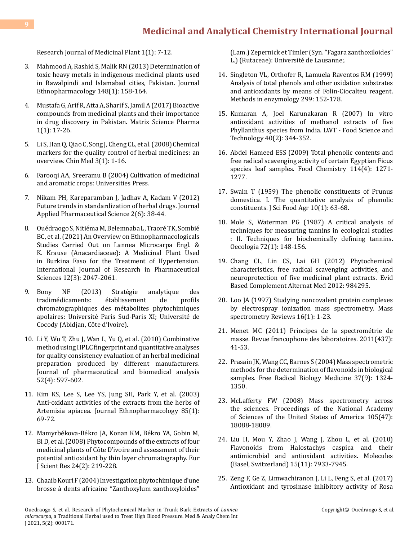# **[Medicinal and Analytical Chemistry International Journal](https://medwinpublishers.com/MACIJ/)**

[Research Journal of Medicinal Plant 1\(1\): 7-12.](https://scialert.net/abstract/?doi=rjmp.2007.7.12)

- 3. [Mahmood A, Rashid S, Malik RN \(2013\) Determination of](https://pubmed.ncbi.nlm.nih.gov/23608242/) [toxic heavy metals in indigenous medicinal plants used](https://pubmed.ncbi.nlm.nih.gov/23608242/) [in Rawalpindi and Islamabad cities, Pakistan. Journal](https://pubmed.ncbi.nlm.nih.gov/23608242/) [Ethnopharmacology 148\(1\): 158-164.](https://pubmed.ncbi.nlm.nih.gov/23608242/)
- 4. [Mustafa G, Arif R, Atta A, Sharif S, Jamil A \(2017\) Bioactive](https://ideas.repec.org/a/zib/zbnmsp/v1y2017i1p17-26.html) [compounds from medicinal plants and their importance](https://ideas.repec.org/a/zib/zbnmsp/v1y2017i1p17-26.html) [in drug discovery in Pakistan. Matrix Science Pharma](https://ideas.repec.org/a/zib/zbnmsp/v1y2017i1p17-26.html) [1\(1\): 17-26.](https://ideas.repec.org/a/zib/zbnmsp/v1y2017i1p17-26.html)
- 5. [Li S, Han Q, Qiao C, Song J, Cheng CL, et al. \(2008\) Chemical](https://www.ncbi.nlm.nih.gov/pmc/articles/PMC2488332/) [markers for the quality control of herbal medicines: an](https://www.ncbi.nlm.nih.gov/pmc/articles/PMC2488332/) [overview. Chin Med 3\(1\): 1-16.](https://www.ncbi.nlm.nih.gov/pmc/articles/PMC2488332/)
- 6. Farooqi AA, Sreeramu B (2004) Cultivation of medicinal and aromatic crops: Universities Press.
- 7. [Nikam PH, Kareparamban J, Jadhav A, Kadam V \(2012\)](http://www.japsonline.com/admin/php/uploads/499_pdf.pdf) [Future trends in standardization of herbal drugs. Journal](http://www.japsonline.com/admin/php/uploads/499_pdf.pdf) [Applied Pharmaceutical Science 2\(6\): 38-44.](http://www.japsonline.com/admin/php/uploads/499_pdf.pdf)
- 8. [Ouédraogo S, Nitiéma M, Belemnaba L, Traoré TK, Sombié](https://pharmascope.org/index.php/ijrps/article/view/4812) [BC, et al. \(2021\) An Overview on Ethnopharmacologicals](https://pharmascope.org/index.php/ijrps/article/view/4812) [Studies Carried Out on Lannea Microcarpa Engl. &](https://pharmascope.org/index.php/ijrps/article/view/4812) [K. Krause \(Anacardiaceae\): A Medicinal Plant Used](https://pharmascope.org/index.php/ijrps/article/view/4812) [in Burkina Faso for the Treatment of Hypertension.](https://pharmascope.org/index.php/ijrps/article/view/4812) [International Journal of Research in Pharmaceutical](https://pharmascope.org/index.php/ijrps/article/view/4812) [Sciences 12\(3\): 2047-2061.](https://pharmascope.org/index.php/ijrps/article/view/4812)
- 9. Bony NF (2013) Stratégie analytique des<br>tradimédicaments: établissement de profils tradimédicaments: chromatographiques des métabolites phytochimiques apolaires: Université Paris Sud-Paris XI; Université de Cocody (Abidjan, Côte d'Ivoire).
- 10. [Li Y, Wu T, Zhu J, Wan L, Yu Q, et al. \(2010\) Combinative](https://pubmed.ncbi.nlm.nih.gov/20138726/) [method using HPLC fingerprint and quantitative analyses](https://pubmed.ncbi.nlm.nih.gov/20138726/) [for quality consistency evaluation of an herbal medicinal](https://pubmed.ncbi.nlm.nih.gov/20138726/) [preparation produced by different manufacturers.](https://pubmed.ncbi.nlm.nih.gov/20138726/) [Journal of pharmaceutical and biomedical analysis](https://pubmed.ncbi.nlm.nih.gov/20138726/) [52\(4\): 597-602.](https://pubmed.ncbi.nlm.nih.gov/20138726/)
- 11. [Kim KS, Lee S, Lee YS, Jung SH, Park Y, et al. \(2003\)](https://pubmed.ncbi.nlm.nih.gov/12576204/) [Anti-oxidant activities of the extracts from the herbs of](https://pubmed.ncbi.nlm.nih.gov/12576204/) [Artemisia apiacea. Journal Ethnopharmacology 85\(1\):](https://pubmed.ncbi.nlm.nih.gov/12576204/) [69-72.](https://pubmed.ncbi.nlm.nih.gov/12576204/)
- 12. [Mamyrbékova-Békro JA, Konan KM, Békro YA, Gobin M,](http://www.lablcbosn.com/wp-content/uploads/2015/09/ejsr_24_2_08.pdf) [Bi D, et al. \(2008\) Phytocompounds of the extracts of four](http://www.lablcbosn.com/wp-content/uploads/2015/09/ejsr_24_2_08.pdf) [medicinal plants of Côte D'ivoire and assessment of their](http://www.lablcbosn.com/wp-content/uploads/2015/09/ejsr_24_2_08.pdf) [potential antioxidant by thin layer chromatography. Eur](http://www.lablcbosn.com/wp-content/uploads/2015/09/ejsr_24_2_08.pdf) [J Scient Res 24\(2\): 219-228.](http://www.lablcbosn.com/wp-content/uploads/2015/09/ejsr_24_2_08.pdf)
- 13. Chaaib Kouri F (2004) Investigation phytochimique d'une brosse à dents africaine "Zanthoxylum zanthoxyloides"

(Lam.) Zepernick et Timler (Syn. "Fagara zanthoxiloides" L.) (Rutaceae): Université de Lausanne;.

- 14. [Singleton VL, Orthofer R, Lamuela Raventos RM \(1999\)](https://www.sciencedirect.com/science/article/abs/pii/S0076687999990171) [Analysis of total phenols and other oxidation substrates](https://www.sciencedirect.com/science/article/abs/pii/S0076687999990171)  [and antioxidants by means of Folin-Ciocalteu reagent.](https://www.sciencedirect.com/science/article/abs/pii/S0076687999990171)  [Methods in enzymology 299: 152-178.](https://www.sciencedirect.com/science/article/abs/pii/S0076687999990171)
- 15. [Kumaran A, Joel Karunakaran R \(2007\) In vitro](https://www.sciencedirect.com/science/article/abs/pii/S0023643805002227)  [antioxidant activities of methanol extracts of five](https://www.sciencedirect.com/science/article/abs/pii/S0023643805002227) [Phyllanthus species from India. LWT - Food Science and](https://www.sciencedirect.com/science/article/abs/pii/S0023643805002227)  [Technology 40\(2\): 344-352.](https://www.sciencedirect.com/science/article/abs/pii/S0023643805002227)
- 16. [Abdel Hameed ESS \(2009\) Total phenolic contents and](https://www.scirp.org/(S(i43dyn45teexjx455qlt3d2q))/reference/ReferencesPapers.aspx?ReferenceID=563490)  [free radical scavenging activity of certain Egyptian Ficus](https://www.scirp.org/(S(i43dyn45teexjx455qlt3d2q))/reference/ReferencesPapers.aspx?ReferenceID=563490) [species leaf samples. Food Chemistry 114\(4\): 1271-](https://www.scirp.org/(S(i43dyn45teexjx455qlt3d2q))/reference/ReferencesPapers.aspx?ReferenceID=563490) [1277.](https://www.scirp.org/(S(i43dyn45teexjx455qlt3d2q))/reference/ReferencesPapers.aspx?ReferenceID=563490)
- 17. [Swain T \(1959\) The phenolic constituents of Prunus](https://onlinelibrary.wiley.com/doi/abs/10.1002/jsfa.2740100110) [domestica. I. The quantitative analysis of phenolic](https://onlinelibrary.wiley.com/doi/abs/10.1002/jsfa.2740100110) [constituents. J Sci Food Agr 10\(1\): 63-68.](https://onlinelibrary.wiley.com/doi/abs/10.1002/jsfa.2740100110)
- 18. [Mole S, Waterman PG \(1987\) A critical analysis of](https://pubmed.ncbi.nlm.nih.gov/28312911/) [techniques for measuring tannins in ecological studies](https://pubmed.ncbi.nlm.nih.gov/28312911/) [: II. Techniques for biochemically defining tannins.](https://pubmed.ncbi.nlm.nih.gov/28312911/)  [Oecologia 72\(1\): 148-156.](https://pubmed.ncbi.nlm.nih.gov/28312911/)
- 19. [Chang CL, Lin CS, Lai GH \(2012\) Phytochemical](https://www.hindawi.com/journals/ecam/2012/984295/)  [characteristics, free radical scavenging activities, and](https://www.hindawi.com/journals/ecam/2012/984295/) [neuroprotection of five medicinal plant extracts. Evid](https://www.hindawi.com/journals/ecam/2012/984295/) [Based Complement Alternat Med 2012: 984295.](https://www.hindawi.com/journals/ecam/2012/984295/)
- 20. [Loo JA \(1997\) Studying noncovalent protein complexes](https://pubmed.ncbi.nlm.nih.gov/9414489/) [by electrospray ionization mass spectrometry. Mass](https://pubmed.ncbi.nlm.nih.gov/9414489/)  [spectrometry Reviews 16\(1\): 1-23.](https://pubmed.ncbi.nlm.nih.gov/9414489/)
- 21. [Menet MC \(2011\) Principes de la spectrométrie de](https://www.sciencedirect.com/science/article/abs/pii/S1773035X11712114) [masse. Revue francophone des laboratoires. 2011\(437\):](https://www.sciencedirect.com/science/article/abs/pii/S1773035X11712114) [41-53.](https://www.sciencedirect.com/science/article/abs/pii/S1773035X11712114)
- 22. [Prasain JK, Wang CC, Barnes S \(2004\) Mass spectrometric](https://pubmed.ncbi.nlm.nih.gov/15454273/) [methods for the determination of flavonoids in biological](https://pubmed.ncbi.nlm.nih.gov/15454273/)  [samples. Free Radical Biology Medicine 37\(9\): 1324-](https://pubmed.ncbi.nlm.nih.gov/15454273/) [1350.](https://pubmed.ncbi.nlm.nih.gov/15454273/)
- 23. [McLafferty FW \(2008\) Mass spectrometry across](https://www.pnas.org/content/105/47/18088) [the sciences. Proceedings of the National Academy](https://www.pnas.org/content/105/47/18088) [of Sciences of the United States of America 105\(47\):](https://www.pnas.org/content/105/47/18088) [18088-18089.](https://www.pnas.org/content/105/47/18088)
- 24. [Liu H, Mou Y, Zhao J, Wang J, Zhou L, et al. \(2010\)](https://pubmed.ncbi.nlm.nih.gov/21060300/) [Flavonoids from Halostachys caspica and their](https://pubmed.ncbi.nlm.nih.gov/21060300/) [antimicrobial and antioxidant activities. Molecules](https://pubmed.ncbi.nlm.nih.gov/21060300/)  [\(Basel, Switzerland\) 15\(11\): 7933-7945.](https://pubmed.ncbi.nlm.nih.gov/21060300/)
- 25. [Zeng F, Ge Z, Limwachiranon J, Li L, Feng S, et al. \(2017\)](https://ifst.onlinelibrary.wiley.com/doi/abs/10.1111/ijfs.13353) [Antioxidant and tyrosinase inhibitory activity of Rosa](https://ifst.onlinelibrary.wiley.com/doi/abs/10.1111/ijfs.13353)